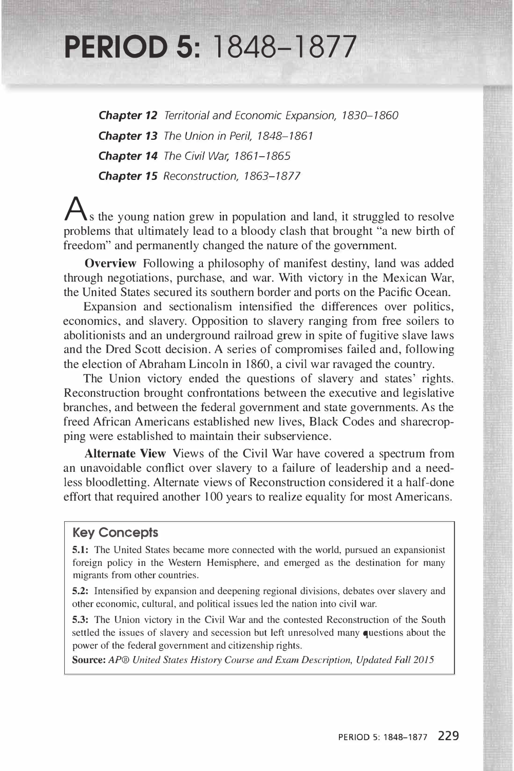# **PERIOD 5: 1848- 1877**

*Chapter 12 Territorial and Economic Expansion, 1830-1860 Chapter 13 The Union in Peril, 1848-1861 Chapter 14 The Civil War, 1861-1865 Chapter 15 Reconstruction, 1863-1877* 

s the young nation grew in population and land, it struggled to resolve problems that ultimately lead to a bloody clash that brought "a new birth of freedom" and permanently changed the nature of the government.

**Overview** Following a philosophy of manifest destiny, land was added through negotiations, purchase, and war. With victory in the Mexican War, the United States secured its southern border and ports on the Pacific Ocean.

Expansion and sectionalism intensified the differences over politics, economics, and slavery. Opposition to slavery ranging from free soilers to abolitionists and an underground railroad grew in spite of fugitive slave laws and the Dred Scott decision. A series of compromises failed and, following the election of Abraham Lincoln in 1860, a civil war ravaged the country.

The Union victory ended the questions of slavery and states' rights. Reconstruction brought confrontations between the executive and legislative branches, and between the federal government and state governments. As the freed African Americans established new lives, Black Codes and sharecropping were established to maintain their subservience.

**Alternate View** Views of the Civil War have covered a spectrum from an unavoidable conflict over slavery to a failure of leadership and a needless bloodletting. Alternate views of Reconstruction considered it a half-done effort that required another 100 years to realize equality for most Americans.

#### **Key Concepts**

**5.1:** The United States became more connected with the world, pursued an expansionist foreign policy in the Western Hemisphere, and emerged as the destination for many migrants from other countries.

5.2: Intensified by expansion and deepening regional divisions, debates over slavery and other economic, cultural, and political issues led the nation into civil war.

**5.3:** The Union victory in the Civil War and the contested Reconstruction of the South settled the issues of slavery and secession but left unresolved many questions about the power of the federal government and citizenship rights.

**Source:** *AP® United States History Course and Exam Description, Updated Fall 2015*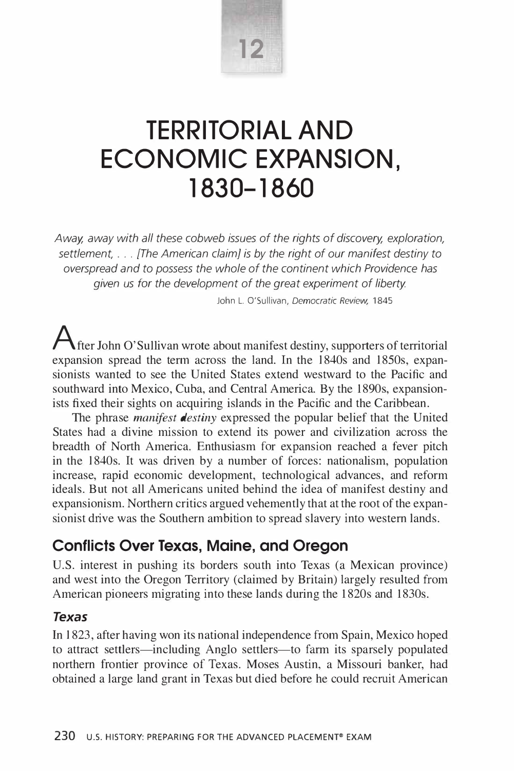

# **TERRITORIAL AND ECONOMIC EXPANSION, 1830-1860**

*Away, away with all these cobweb issues of the rights of discovery, exploration, settlement,* ... *[The American claim} is by the right of our manifest destiny to overspread and to possess the whole of the continent which Providence has given us for the development of the great experiment of liberty* 

John L. O'Sullivan, *Democratic Review,* 1845

After John O'Sullivan wrote about manifest destiny, supporters of territorial expansion spread the term across the land. In the 1840s and 1850s, expansionists wanted to see the United States extend westward to the Pacific and southward into Mexico, Cuba, and Central America. By the 1890s, expansionists fixed their sights on acquiring islands in the Pacific and the Caribbean.

The phrase *manifest destiny* expressed the popular belief that the United States had a divine mission to extend its power and civilization across the breadth of North America. Enthusiasm for expansion reached a fever pitch in the 1840s. It was driven by a number of forces: nationalism, population increase, rapid economic development, technological advances, and reform ideals. But not all Americans united behind the idea of manifest destiny and expansionism. Northern critics argued vehemently that at the root of the expansionist drive was the Southern ambition to spread slavery into western lands.

## **Conflicts Over Texas, Maine, and Oregon**

U.S. interest in pushing its borders south into Texas (a Mexican province) and west into the Oregon Territory ( claimed by Britain) largely resulted from American pioneers migrating into these lands during the 1820s and 1830s.

#### *Texas*

In 1823, after having won its national independence from Spain, Mexico hoped to attract settlers—including Anglo settlers—to farm its sparsely populated northern frontier province of Texas. Moses Austin, a Missouri banker, had obtained a large land grant in Texas but died before he could recruit American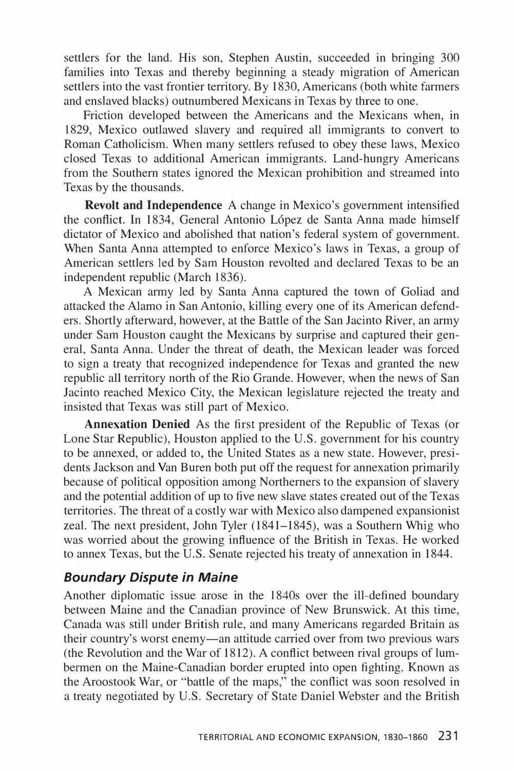settlers for the land. His son, Stephen Austin, succeeded in bringing 300 families into Texas and thereby beginning a steady migration of American settlers into the vast frontier territory. By 1830, Americans (both white farmers and enslaved blacks) outnumbered Mexicans in Texas by three to one.

Friction developed between the Americans and the Mexicans when, in 1829, Mexico outlawed slavery and required all immigrants to convert to Roman Catholicism. When many settlers refused to obey these laws, Mexico closed Texas to additional American immigrants. Land-hungry Americans from the Southern states ignored the Mexican prohibition and streamed into Texas by the thousands.

**Revolt and Independence** A change in Mexico's government intensified the conflict. In 1834, General Antonio López de Santa Anna made himself dictator of Mexico and abolished that nation's federal system of government. When Santa Anna attempted to enforce Mexico's laws in Texas, a group of American settlers led by Sam Houston revolted and declared Texas to be an independent republic (March 1836).

A Mexican army led by Santa Anna captured the town of Goliad and attacked the Alamo in San Antonio, killing every one of its American defenders. Shortly afterward, however, at the Battle of the San Jacinto River, an army under Sam Houston caught the Mexicans by surprise and captured their general, Santa Anna. Under the threat of death, the Mexican leader was forced to sign a treaty that recognized independence for Texas and granted the new republic all territory north of the Rio Grande. However, when the news of San Jacinto reached Mexico City, the Mexican legislature rejected the treaty and insisted that Texas was still part of Mexico.

**Annexation Denied** As the first president of the Republic of Texas (or Lone Star Republic), Houston applied to the U.S. government for his country to be annexed, or added to, the United States as a new state. However, presidents Jackson and Van Buren both put off the request for annexation primarily because of political opposition among Northerners to the expansion of slavery and the potential addition of up to five new slave states created out of the Texas territories. The threat of a costly war with Mexico also dampened expansionist zeal. The next president, John Tyler (1841-1845), was a Southern Whig who was worried about the growing influence of the British in Texas. He worked to annex Texas, but the U.S. Senate rejected his treaty of annexation in 1844.

#### *Boundary Dispute in Maine*

Another diplomatic issue arose in the 1840s over the ill-defined boundary between Maine and the Canadian province of New Brunswick. At this time, Canada was still under British rule, and many Americans regarded Britain as their country's worst enemy—an attitude carried over from two previous wars (the Revolution and the War of 1812). A conflict between rival groups of lumbermen on the Maine-Canadian border erupted into open fighting. Known as the Aroostook War, or "battle of the maps," the conflict was soon resolved in a treaty negotiated by U.S. Secretary of State Daniel Webster and the British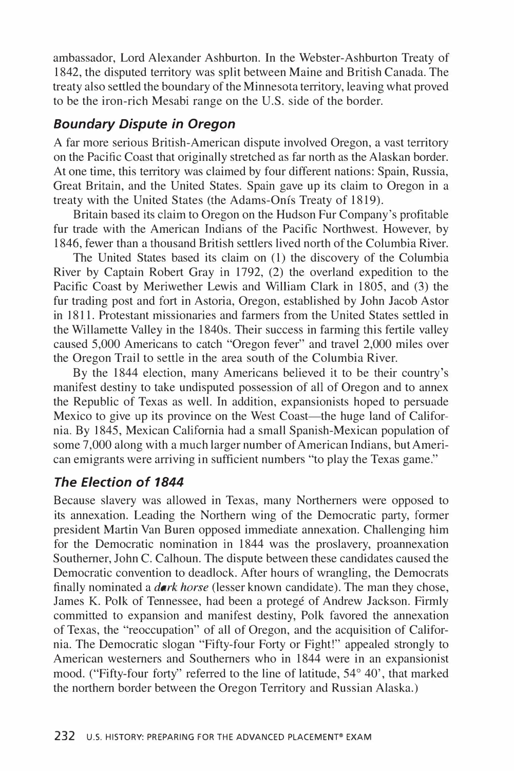ambassador, Lord Alexander Ashburton. In the Webster-Ashburton Treaty of 1842, the disputed territory was split between Maine and British Canada. The treaty also settled the boundary of the Minnesota territory, leaving what proved to be the iron-rich Mesabi range on the U.S. side of the border.

#### *Boundary Dispute in Oregon*

A far more serious British-American dispute involved Oregon, a vast territory on the Pacific Coast that originally stretched as far north as the Alaskan border. At one time, this territory was claimed by four different nations: Spain, Russia, Great Britain, and the United States. Spain gave up its claim to Oregon in a treaty with the United States (the Adams-Onfs Treaty of 1819).

Britain based its claim to Oregon on the Hudson Fur Company's profitable fur trade with the American Indians of the Pacific Northwest. However, by 1846, fewer than a thousand British settlers lived north of the Columbia River.

The United States based its claim on (1) the discovery of the Columbia River by Captain Robert Gray in 1792, (2) the overland expedition to the Pacific Coast by Meriwether Lewis and William Clark in 1805, and (3) the fur trading post and fort in Astoria, Oregon, established by John Jacob Astor in 1811. Protestant missionaries and farmers from the United States settled in the Willamette Valley in the 1840s. Their success in farming this fertile valley caused 5,000 Americans to catch "Oregon fever" and travel 2,000 miles over the Oregon Trail to settle in the area south of the Columbia River.

By the 1844 election, many Americans believed it to be their country's manifest destiny to take undisputed possession of all of Oregon and to annex the Republic of Texas as well. In addition, expansionists hoped to persuade Mexico to give up its province on the West Coast—the huge land of California. By 1845, Mexican California had a small Spanish-Mexican population of some 7,000 along with a much larger number of American Indians, but American emigrants were arriving in sufficient numbers "to play the Texas game."

#### *The Election of 1844*

Because slavery was allowed in Texas, many Northerners were opposed to its annexation. Leading the Northern wing of the Democratic party, former president Martin Van Buren opposed immediate annexation. Challenging him for the Democratic nomination in 1844 was the proslavery, proannexation Southerner, John C. Calhoun. The dispute between these candidates caused the Democratic convention to deadlock. After hours of wrangling, the Democrats finally nominated a *dark horse* (lesser known candidate). The man they chose, James K. Polk of Tennessee, had been a protege of Andrew Jackson. Firmly committed to expansion and manifest destiny, Polk favored the annexation of Texas, the "reoccupation" of all of Oregon, and the acquisition of California. The Democratic slogan "Fifty-four Forty or Fight!" appealed strongly to American westerners and Southerners who in 1844 were in an expansionist mood. ("Fifty-four forty" referred to the line of latitude,  $54^{\circ}$  40', that marked the northern border between the Oregon Territory and Russian Alaska.)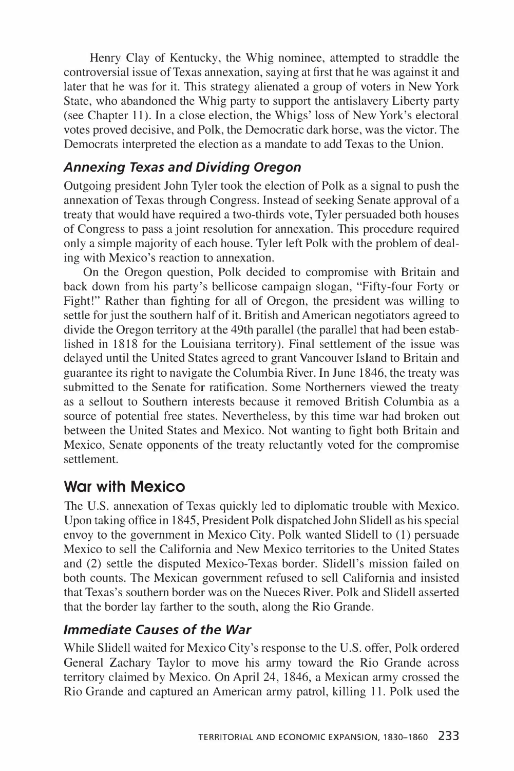Henry Clay of Kentucky, the Whig nominee, attempted to straddle the controversial issue of Texas annexation, saying at first that he was against it and later that he was for it. This strategy alienated a group of voters in New York State, who abandoned the Whig party to support the antislavery Liberty party (see Chapter 11). In a close election, the Whigs' loss of New York's electoral votes proved decisive, and Polk, the Democratic dark horse, was the victor. The Democrats interpreted the election as a mandate to add Texas to the Union.

#### *Annexing Texas and Dividing Oregon*

Outgoing president John Tyler took the election of Polk as a signal to push the annexation of Texas through Congress. Instead of seeking Senate approval of a treaty that would have required a two-thirds vote, Tyler persuaded both houses of Congress to pass a joint resolution for annexation. This procedure required only a simple majority of each house. Tyler left Polk with the problem of dealing with Mexico's reaction to annexation.

On the Oregon question, Polk decided to compromise with Britain and back down from his party's bellicose campaign slogan, "Fifty-four Forty or Fight!" Rather than fighting for all of Oregon, the president was willing to settle for just the southern half of it. British and American negotiators agreed to divide the Oregon territory at the 49th parallel (the parallel that had been established in 1818 for the Louisiana territory). Final settlement of the issue was delayed until the United States agreed to grant Vancouver Island to Britain and guarantee its right to navigate the Columbia River. In June 1846, the treaty was submitted to the Senate for ratification. Some Northerners viewed the treaty as a sellout to Southern interests because it removed British Columbia as a source of potential free states. Nevertheless, by this time war had broken out between the United States and Mexico. Not wanting to fight both Britain and Mexico, Senate opponents of the treaty reluctantly voted for the compromise settlement.

## **War with Mexico**

The U.S. annexation of Texas quickly led to diplomatic trouble with Mexico. Upon taking office in 1845, President Polk dispatched John Slidell as his special envoy to the government in Mexico City. Polk wanted Slidell to (1) persuade Mexico to sell the California and New Mexico territories to the United States and (2) settle the disputed Mexico-Texas border. Slidell's mission failed on both counts. The Mexican government refused to sell California and insisted that Texas's southern border was on the Nueces River. Polk and Slidell asserted that the border lay farther to the south, along the Rio Grande.

#### *Immediate Causes of the War*

While Slidell waited for Mexico City's response to the U.S. offer, Polk ordered General Zachary Taylor to move his army toward the Rio Grande across territory claimed by Mexico. On April 24, 1846, a Mexican army crossed the Rio Grande and captured an American army patrol, killing 11. Polk used the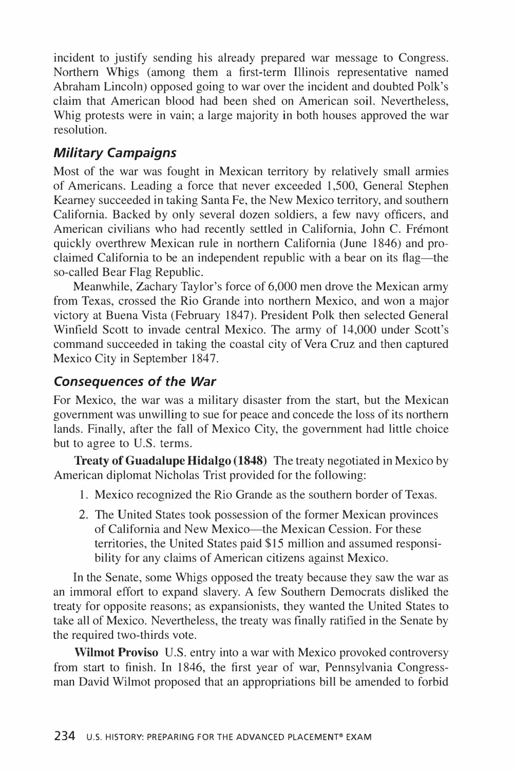incident to justify sending his already prepared war message to Congress. Northern Whigs (among them a first-term Illinois representative named Abraham Lincoln) opposed going to war over the incident and doubted Polk's claim that American blood had been shed on American soil. Nevertheless, Whig protests were in vain; a large majority in both houses approved the war resolution.

#### *Military Campaigns*

Most of the war was fought in Mexican territory by relatively small armies of Americans. Leading a force that never exceeded 1,500, General Stephen Kearney succeeded in taking Santa Fe, the New Mexico territory, and southern California. Backed by only several dozen soldiers, a few navy officers, and American civilians who had recently settled in California, John C. Frémont quickly overthrew Mexican rule in northern California (June 1846) and proclaimed California to be an independent republic with a bear on its flag-the so-called Bear Flag Republic.

Meanwhile, Zachary Taylor's force of 6,000 men drove the Mexican army from Texas, crossed the Rio Grande into northern Mexico, and won a major victory at Buena Vista (February 1847). President Polk then selected General Winfield Scott to invade central Mexico. The army of 14,000 under Scott's command succeeded in taking the coastal city of Vera Cruz and then captured Mexico City in September 1847.

#### *Consequences of the War*

For Mexico, the war was a military disaster from the start, but the Mexican government was unwilling to sue for peace and concede the loss of its northern lands. Finally, after the fall of Mexico City, the government had little choice but to agree to U.S. terms.

**Treaty of Guadalupe Hidalgo (1848)** The treaty negotiated in Mexico by American diplomat Nicholas Trist provided for the following:

- 1. Mexico recognized the Rio Grande as the southern border of Texas.
- 2. The United States took possession of the former Mexican provinces of California and New Mexico-the Mexican Cession. For these territories, the United States paid \$15 million and assumed responsibility for any claims of American citizens against Mexico.

In the Senate, some Whigs opposed the treaty because they saw the war as an immoral effort to expand slavery. A few Southern Democrats disliked the treaty for opposite reasons; as expansionists, they wanted the United States to take all of Mexico. Nevertheless, the treaty was finally ratified in the Senate by the required two-thirds vote.

**Wilmot Proviso** U.S. entry into a war with Mexico provoked controversy from start to finish. In 1846, the first year of war, Pennsylvania Congressman David Wilmot proposed that an appropriations bill be amended to forbid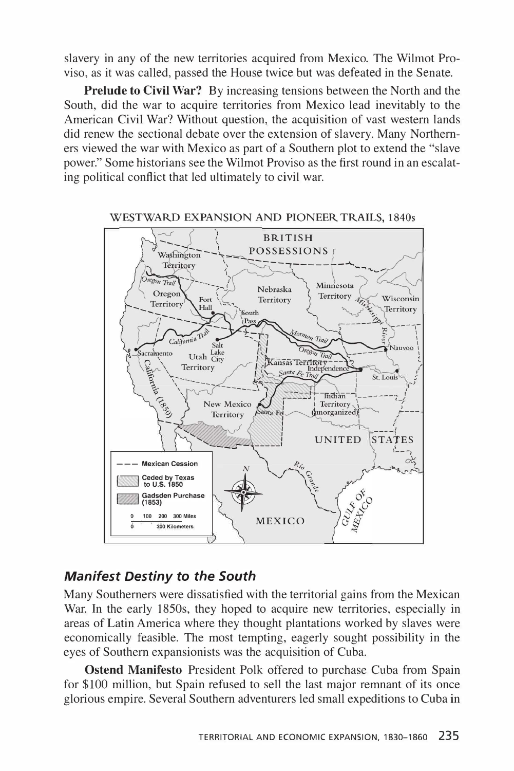slavery in any of the new territories acquired from Mexico. The Wilmot Proviso, as it was called, passed the House twice but was defeated in the Senate.

**Prelude to Civil War?** By increasing tensions between the North and the South, did the war to acquire territories from Mexico lead inevitably to the American Civil War? Without question, the acquisition of vast western lands did renew the sectional debate over the extension of slavery. Many Northerners viewed the war with Mexico as part of a Southern plot to extend the "slave power." Some historians see the Wilmot Proviso as the first round in an escalating political conflict that led ultimately to civil war.



WESTWARD EXPANSION AND PIONEER TRAILS, 1840s

#### *Manifest Destiny to the South*

Many Southerners were dissatisfied with the territorial gains from the Mexican War. In the early 1850s, they hoped to acquire new territories, especially in areas of Latin America where they thought plantations worked by slaves were economically feasible. The most tempting, eagerly sought possibility in the eyes of Southern expansionists was the acquisition of Cuba.

**Ostend Manifesto** President Polk offered to purchase Cuba from Spain for \$100 million, but Spain refused to sell the last major remnant of its once glorious empire. Several Southern adventurers led small expeditions to Cuba in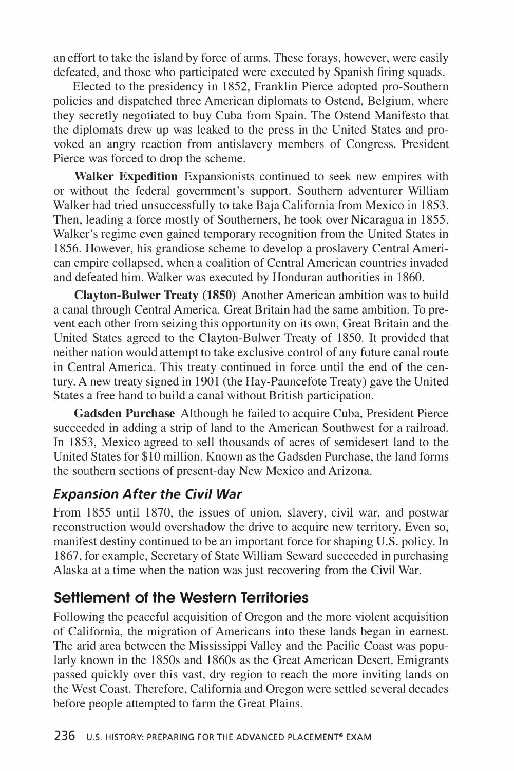an effort to take the island by force of arms. These forays, however, were easily defeated, and those who participated were executed by Spanish firing squads.

Elected to the presidency in 1852, Franklin Pierce adopted pro-Southern policies and dispatched three American diplomats to Ostend, Belgium, where they secretly negotiated to buy Cuba from Spain. The Ostend Manifesto that the diplomats drew up was leaked to the press in the United States and provoked an angry reaction from antislavery members of Congress. President Pierce was forced to drop the scheme.

**Walker Expedition** Expansionists continued to seek new empires with or without the federal government's support. Southern adventurer William Walker had tried unsuccessfully to take Baja California from Mexico in 1853. Then, leading a force mostly of Southerners, he took over Nicaragua in 1855. Walker's regime even gained temporary recognition from the United States in 1856. However, his grandiose scheme to develop a proslavery Central American empire collapsed, when a coalition of Central American countries invaded and defeated him. Walker was executed by Honduran authorities in 1860.

**Clayton-Bulwer Treaty (1850)** Another American ambition was to build a canal through Central America. Great Britain had the same ambition. To prevent each other from seizing this opportunity on its own, Great Britain and the United States agreed to the Clayton-Bulwer Treaty of 1850. It provided that neither nation would attempt to take exclusive control of any future canal route in Central America. This treaty continued in force until the end of the century. A new treaty signed in 1901 (the Hay-Pauncefote Treaty) gave the United States a free hand to build a canal without British participation.

**Gadsden Purchase** Although he failed to acquire Cuba, President Pierce succeeded in adding a strip of land to the American Southwest for a railroad. In 1853, Mexico agreed to sell thousands of acres of semidesert land to the United States for \$10 million. Known as the Gadsden Purchase, the land forms the southern sections of present-day New Mexico and Arizona.

#### *Expansion After the Civil War*

From 1855 until 1870, the issues of union, slavery, civil war, and postwar reconstruction would overshadow the drive to acquire new territory. Even so, manifest destiny continued to be an important force for shaping U.S. policy. In 1867, for example, Secretary of State William Seward succeeded in purchasing Alaska at a time when the nation was just recovering from the Civil War.

## **Settlement of the Western Territories**

Following the peaceful acquisition of Oregon and the more violent acquisition of California, the migration of Americans into these lands began in earnest. The arid area between the Mississippi Valley and the Pacific Coast was popularly known in the 1850s and 1860s as the Great American Desert. Emigrants passed quickly over this vast, dry region to reach the more inviting lands on the West Coast. Therefore, California and Oregon were settled several decades before people attempted to farm the Great Plains.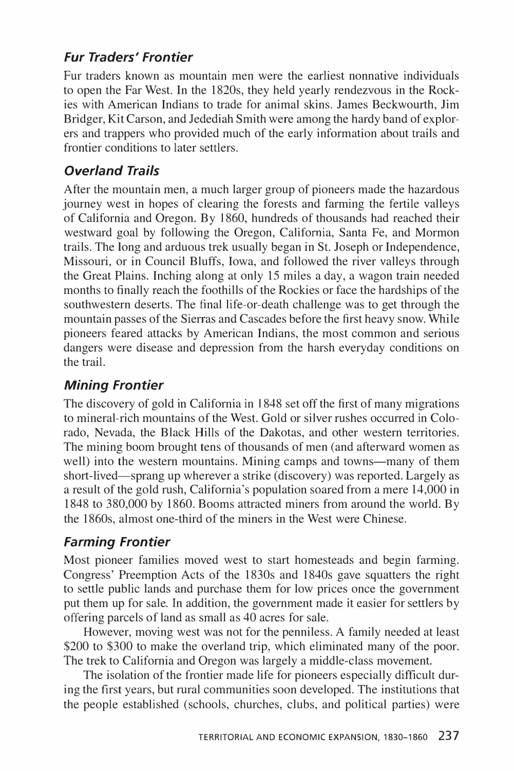#### *Fur Traders' Frontier*

Fur traders known as mountain men were the earliest nonnative individuals to open the Far West. In the 1820s, they held yearly rendezvous in the Rockies with American Indians to trade for animal skins. James Beckwourth, Jim Bridger, Kit Carson, and Jedediah Smith were among the hardy band of explorers and trappers who provided much of the early information about trails and frontier conditions to later settlers.

## *Overland Trails*

After the mountain men, a much larger group of pioneers made the hazardous journey west in hopes of clearing the forests and farming the fertile valleys of California and Oregon. By 1860, hundreds of thousands had reached their westward goal by following the Oregon, California, Santa Fe, and Mormon trails. The long and arduous trek usually began in St. Joseph or Independence, Missouri, or in Council Bluffs, Iowa, and followed the river valleys through the Great Plains. Inching along at only 15 miles a day, a wagon train needed months to finally reach the foothills of the Rockies or face the hardships of the southwestern deserts. The final life-or-death challenge was to get through the mountain passes of the Sierras and Cascades before the first heavy snow. While pioneers feared attacks by American Indians, the most common and serious dangers were disease and depression from the harsh everyday conditions on the trail.

#### *Mining Frontier*

The discovery of gold in California in 1848 set off the first of many migrations to mineral-rich mountains of the West. Gold or silver rushes occurred in Colorado, Nevada, the Black Hills of the Dakotas, and other western territories. The mining boom brought tens of thousands of men ( and afterward women as well) into the western mountains. Mining camps and towns—many of them short-lived—sprang up wherever a strike (discovery) was reported. Largely as a result of the gold rush, California's population soared from a mere 14,000 in 1848 to 380,000 by 1860. Booms attracted miners from around the world. By the 1860s, almost one-third of the miners in the West were Chinese.

## *Farming Frontier*

Most pioneer families moved west to start homesteads and begin farming. Congress' Preemption Acts of the 1830s and 1840s gave squatters the right to settle public lands and purchase them for low prices once the government put them up for sale. In addition, the government made it easier for settlers by offering parcels of land as small as 40 acres for sale.

However, moving west was not for the penniless. A family needed at least \$200 to \$300 to make the overland trip, which eliminated many of the poor. The trek to California and Oregon was largely a middle-class movement.

The isolation of the frontier made life for pioneers especially difficult during the first years, but rural communities soon developed. The institutions that the people established (schools, churches, clubs, and political parties) were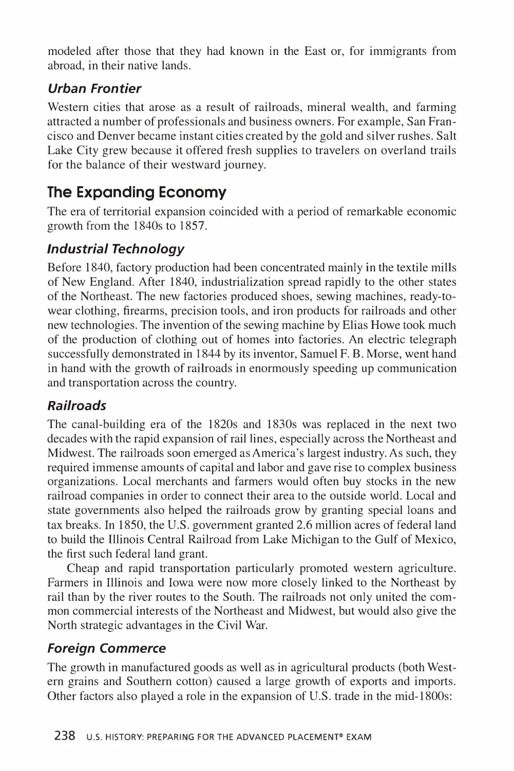modeled after those that they had known in the East or, for immigrants from abroad, in their native lands.

## *Urban Frontier*

Western cities that arose as a result of railroads, mineral wealth, and farming attracted a number of professionals and business owners. For example, San Francisco and Denver became instant cities created by the gold and silver rushes. Salt Lake City grew because it offered fresh supplies to travelers on overland trails for the balance of their westward journey.

## **The Expanding Economy**

The era of territorial expansion coincided with a period of remarkable economic growth from the 1840s to 1857.

## *Industrial Technology*

Before 1840, factory production had been concentrated mainly in the textile mills of New England. After 1840, industrialization spread rapidly to the other states of the Northeast. The new factories produced shoes, sewing machines, ready-towear clothing, firearms, precision tools, and iron products for railroads and other new technologies. The invention of the sewing machine by Elias Howe took much of the production of clothing out of homes into factories. An electric telegraph successfully demonstrated in 1844 by its inventor, Samuel F. B. Morse, went hand in hand with the growth of railroads in enormously speeding up communication and transportation across the country.

### *Railroads*

The canal-building era of the 1820s and 1830s was replaced in the next two decades with the rapid expansion of rail lines, especially across the Northeast and Midwest. The railroads soon emerged as America's largest industry. As such, they required immense amounts of capital and labor and gave rise to complex business organizations. Local merchants and farmers would often buy stocks in the new railroad companies in order to connect their area to the outside world. Local and state governments also helped the railroads grow by granting special loans and tax breaks. In 1850, the U.S. government granted 2.6 million acres of federal land to build the Illinois Central Railroad from Lake Michigan to the Gulf of Mexico, the first such federal land grant.

Cheap and rapid transportation particularly promoted western agriculture. Farmers in Illinois and Iowa were now more closely linked to the Northeast by rail than by the river routes to the South. The railroads not only united the common commercial interests of the Northeast and Midwest, but would also give the North strategic advantages in the Civil War.

### *Foreign Commerce*

The growth in manufactured goods as well as in agricultural products (both Western grains and Southern cotton) caused a large growth of exports and imports. Other factors also played a role in the expansion of U.S. trade in the mid-1800s: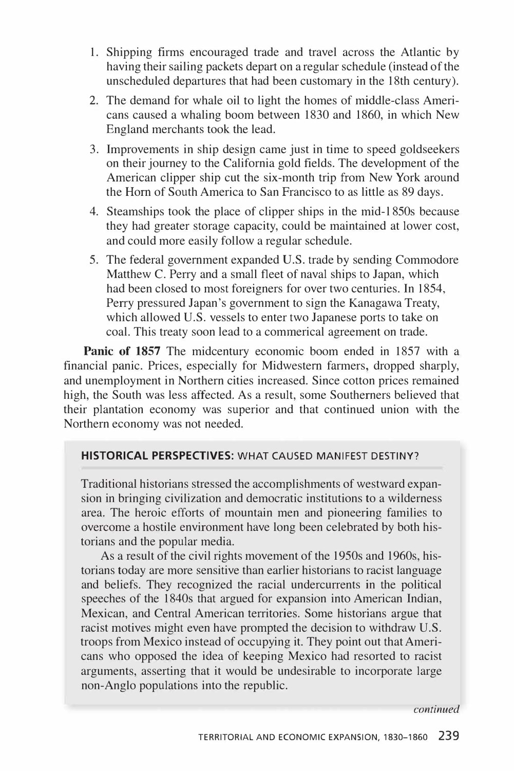- 1. Shipping firms encouraged trade and travel across the Atlantic by having their sailing packets depart on a regular schedule (instead of the unscheduled departures that had been customary in the 18th century).
- 2. The demand for whale oil to light the homes of middle-class Americans caused a whaling boom between 1830 and 1860, in which New England merchants took the lead.
- 3. Improvements in ship design came just in time to speed goldseekers on their journey to the California gold fields. The development of the American clipper ship cut the six-month trip from New York around the Hom of South America to San Francisco to as little as 89 days.
- 4. Steamships took the place of clipper ships in the mid-l 850s because they had greater storage capacity, could be maintained at lower cost, and could more easily follow a regular schedule.
- 5. The federal government expanded U.S. trade by sending Commodore Matthew C. Perry and a small fleet of naval ships to Japan, which had been closed to most foreigners for over two centuries. In 1854, Perry pressured Japan's government to sign the Kanagawa Treaty, which allowed U.S. vessels to enter two Japanese ports to take on coal. This treaty soon lead to a commerical agreement on trade.

**Panic of 1857** The midcentury economic boom ended in 1857 with a financial panic. Prices, especially for Midwestern farmers, dropped sharply, and unemployment in Northern cities increased. Since cotton prices remained high, the South was less affected. As a result, some Southerners believed that their plantation economy was superior and that continued union with the Northern economy was not needed.

#### **HISTORICAL PERSPECTIVES:** WHAT CAUSED MANIFEST DESTINY?

Traditional historians stressed the accomplishments of westward expansion in bringing civilization and democratic institutions to a wilderness area. The heroic efforts of mountain men and pioneering families to overcome a hostile environment have long been celebrated by both historians and the popular media.

As a result of the civil rights movement of the 1950s and 1960s, historians today are more sensitive than earlier historians to racist language and beliefs. They recognized the racial undercurrents in the political speeches of the 1840s that argued for expansion into American Indian, Mexican, and Central American territories. Some historians argue that racist motives might even have prompted the decision to withdraw U.S. troops from Mexico instead of occupying it. They point out that Americans who opposed the idea of keeping Mexico had resorted to racist arguments, asserting that it would be undesirable to incorporate large non-Anglo populations into the republic.

*continued*